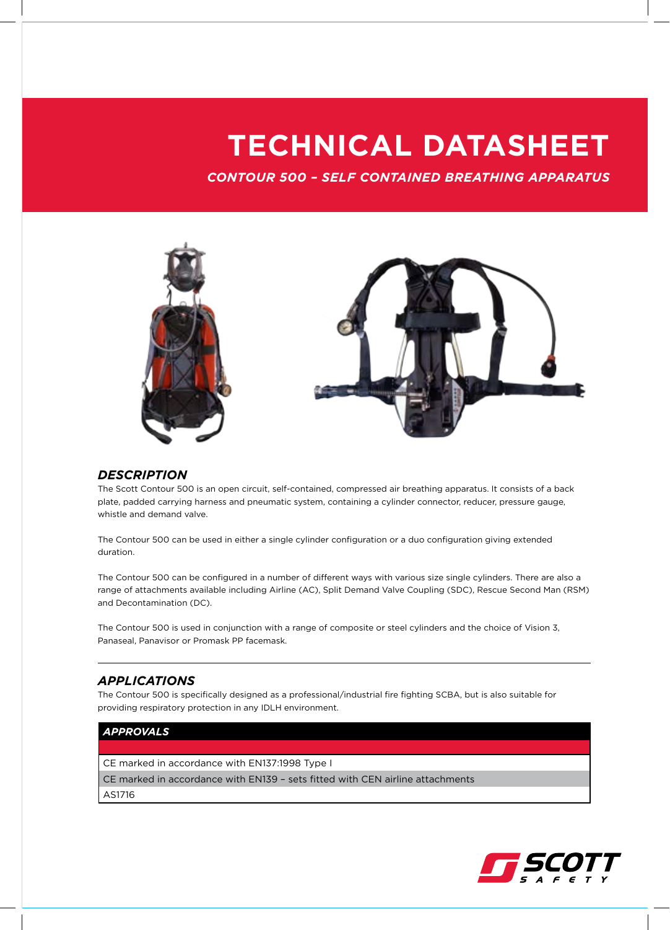## **TECHNICAL DATASHEET**

*CONTOUR 500 – SELF CONTAINED BREATHING APPARATUS*



### *DESCRIPTION*

The Scott Contour 500 is an open circuit, self-contained, compressed air breathing apparatus. It consists of a back plate, padded carrying harness and pneumatic system, containing a cylinder connector, reducer, pressure gauge, whistle and demand valve.

The Contour 500 can be used in either a single cylinder configuration or a duo configuration giving extended duration.

The Contour 500 can be configured in a number of different ways with various size single cylinders. There are also a range of attachments available including Airline (AC), Split Demand Valve Coupling (SDC), Rescue Second Man (RSM) and Decontamination (DC).

The Contour 500 is used in conjunction with a range of composite or steel cylinders and the choice of Vision 3, Panaseal, Panavisor or Promask PP facemask.

## *APPLICATIONS*

The Contour 500 is specifically designed as a professional/industrial fire fighting SCBA, but is also suitable for providing respiratory protection in any IDLH environment.

## *APPROVALS*

CE marked in accordance with EN137:1998 Type I

CE marked in accordance with EN139 – sets fitted with CEN airline attachments

AS1716

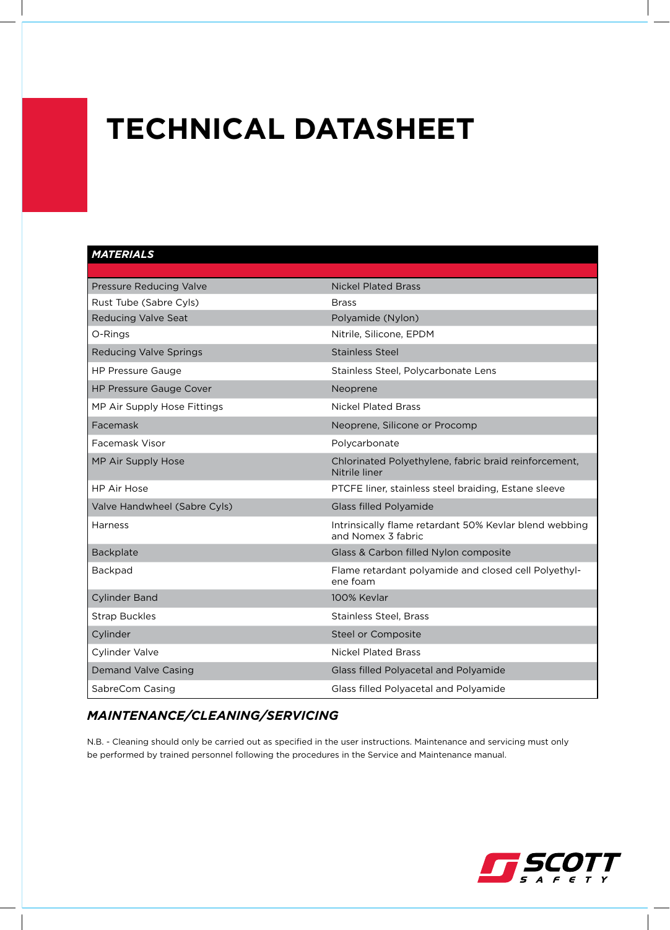## **TECHNICAL DATASHEET**

## *MATERIALS*

| Pressure Reducing Valve        | <b>Nickel Plated Brass</b>                                                   |
|--------------------------------|------------------------------------------------------------------------------|
| Rust Tube (Sabre Cyls)         | <b>Brass</b>                                                                 |
| <b>Reducing Valve Seat</b>     | Polyamide (Nylon)                                                            |
| O-Rings                        | Nitrile, Silicone, EPDM                                                      |
| <b>Reducing Valve Springs</b>  | Stainless Steel                                                              |
| <b>HP Pressure Gauge</b>       | Stainless Steel, Polycarbonate Lens                                          |
| <b>HP Pressure Gauge Cover</b> | Neoprene                                                                     |
| MP Air Supply Hose Fittings    | <b>Nickel Plated Brass</b>                                                   |
| Facemask                       | Neoprene, Silicone or Procomp                                                |
| Facemask Visor                 | Polycarbonate                                                                |
| MP Air Supply Hose             | Chlorinated Polyethylene, fabric braid reinforcement,<br>Nitrile liner       |
| <b>HP Air Hose</b>             | PTCFE liner, stainless steel braiding, Estane sleeve                         |
| Valve Handwheel (Sabre Cyls)   | <b>Glass filled Polyamide</b>                                                |
| Harness                        | Intrinsically flame retardant 50% Kevlar blend webbing<br>and Nomex 3 fabric |
| Backplate                      | Glass & Carbon filled Nylon composite                                        |
| Backpad                        | Flame retardant polyamide and closed cell Polyethyl-<br>ene foam             |
| <b>Cylinder Band</b>           | 100% Kevlar                                                                  |
| <b>Strap Buckles</b>           | <b>Stainless Steel, Brass</b>                                                |
| Cylinder                       | Steel or Composite                                                           |
| Cylinder Valve                 | <b>Nickel Plated Brass</b>                                                   |
| <b>Demand Valve Casing</b>     | Glass filled Polyacetal and Polyamide                                        |
| SabreCom Casing                | Glass filled Polyacetal and Polyamide                                        |

## *MAINTENANCE/CLEANING/SERVICING*

N.B. - Cleaning should only be carried out as specified in the user instructions. Maintenance and servicing must only be performed by trained personnel following the procedures in the Service and Maintenance manual.